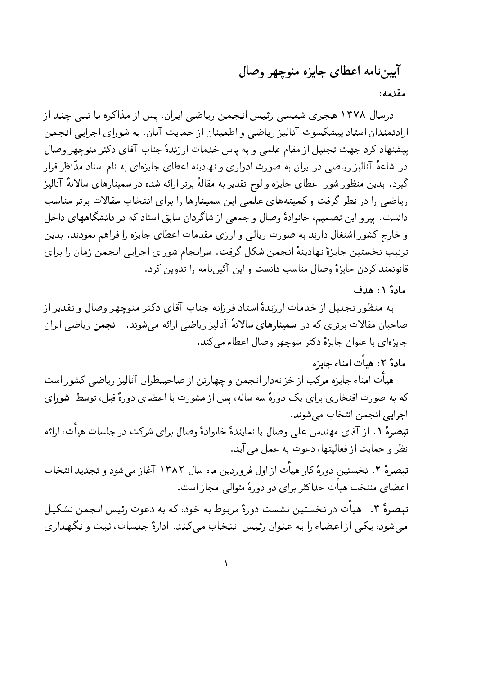## آيين نامه اعطاي جايزه منوچهر وصال

مقدمه:

درسال ۱۳۷۸ هجری شمسی رئیس انجمن ریاضی ایران، پس از مذاکره با تنی چند از ارادتمندان استاد پیشکسوت آنالیز ریاضی و اطمینان از حمایت آنان، به شورای اجرایی انجمن پیشنهاد کرد جهت تجلیل از مقام علمی و به پاس خدمات ارزندهٔ جناب آقای دکتر منوچهر وصال در اشاعهٔ آنالیز ریاضی در ایران به صورت ادواری و نهادینه اعطای جایزهای به نام استاد مدّنظر قرار گیرد. بدین منظور شورا اعطای جایزه و لوح تقدیر به مقالهٔ برتر ارائه شده در سمینارهای سالانهٔ آنالیز ریاضی را در نظر گرفت و کمیتههای علمی این سمینارها را برای انتخاب مقالات برتر مناسب دانست. پیرو این تصمیم، خانوادهٔ وصال و جمعی از شاگردان سابق استاد که در دانشگاههای داخل و خارج کشور اشتغال دارند به صورت ریالی و ارزی مقدمات اعطای جایزه را فراهم نمودند. بدین ترتیب نخستین جایزهٔ نهادینهٔ انجمن شکل گرفت. سرانجام شورای اجرایی انجمن زمان را برای قانونمند كردن جايزهٔ وصال مناسب دانست و اين آئيننامه را تدوين كرد.

مادة ١: هدف

به منظور تجلیل از خدمات ارزندهٔ استاد فرزانه جناب آقای دکتر منوچهر وصال و تقدیر از صاحبان مقالات برتری که در سمینارهای سالانهٔ آنالیز ریاضی ارائه میشوند. انجمن ریاضی ایران جایزهای با عنوان جایزهٔ دکتر منوچهر وصال اعطاء می کند.

مادة ٢: هيأت امناء جايزه

هیأت امناء جایزه مرکب از خزانهدار انجمن و چهارتن از صاحبنظران آنالیز ریاضی کشور است که به صورت افتخاری برای یک دورهٔ سه ساله، پس از مشورت با اعضای دورهٔ قبل، توسط شورای اجرايي انجمن انتخاب مي شوند.

تبصرهٔ ۱. از آقای مهندس علی وصال یا نمایندهٔ خانوادهٔ وصال برای شرکت در جلسات هیأت، ارائه نظر و حمايت از فعاليتها، دعوت به عمل مي آيد.

تبصرهٔ ۲. نخستین دورهٔ کار هیات از اول فروردین ماه سال ۱۳۸۲ آغاز می شود و تجدید انتخاب اعضای منتخب هیأت حداکثر برای دو دورهٔ متوالی مجاز است.

تبصرهٔ ۳. هیأت در نخستین نشست دورهٔ مربوط به خود، که به دعوت رئیس انجمن تشکیل می شود، یکی از اعضاء را به عنوان رئیس انتخاب می کند. ادارهٔ جلسات، ثبت و نگهداری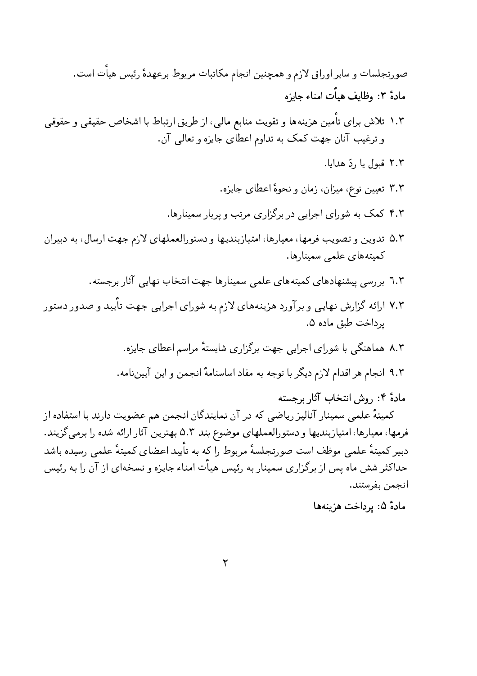صورتجلسات و سایر اوراق لازم و همچنین انجام مکاتبات مربوط برعهدهٔ رئیس هیأت است. مادة ٣: وظايف هيأت امناء جايزه

- ۱.۲ تلاش برای تأمین هزینهها و تقویت منابع مالی، از طریق ارتباط با اشخاص حقیقی و حقوقی و ترغیب آنان جهت کمک به تداوم اعطای جایزه و تعالی آن.
	- ٢.٢ قبول يا , دّ هدايا.
	- ۳.۳ تعیین نوع، میزان، زمان و نحوهٔ اعطای جایزه.
	- ۴.۲ کمک به شورای اجرایی در برگزاری مرتب و پربار سمینارها.
- ۵.۲ تدوین و تصویب فرمها، معیارها، امتیازبندیها و دستورالعملهای لازم جهت ارسال، به دبیران كميتەھاي علمى سمينارها.
	- ٦.٢ بررسی پیشنهادهای کمیتههای علمی سمینارها جهت انتخاب نهایی آثار برجسته.
- ۷.۳ ارائه گزارش نهایی و برآورد هزینههای لازم به شورای اجرایی جهت تأیید و صدور دستور يرداخت طبق ماده ۵.
	- ۸.۲ هماهنگے یا شورای اجرایی جهت برگزاری شاپستهٔ مراسم اعطای جایزه.
	- ۹.۳ انجام هر اقدام لازم دیگر با توجه به مفاد اساسنامهٔ انجمن و این آییننامه.
		- مادهٔ ۴: روش انتخاب آثار برجسته

کمیتهٔ علمی سمینار آنالیز ریاضی که در آن نمایندگان انجمن هم عضویت دارند با استفاده از فرمها، معیارها، امتیازبندیها و دستورالعملهای موضوع بند ۵.۳ بهترین آثار ارائه شده را برمیگزیند. دبیر کمپتۂ علمے ،موظف است صورتجلسۂ مربوط را که به تاّیید اعضای کمپتۂ علمے ,رسیدہ باشد حداکثر شش ماه پس از برگزاری سمینار به رئیس هیأت امناء جایزه و نسخهای از آن را به رئیس انجمن بفرستند.

مادهٔ ۵: پرداخت هزینهها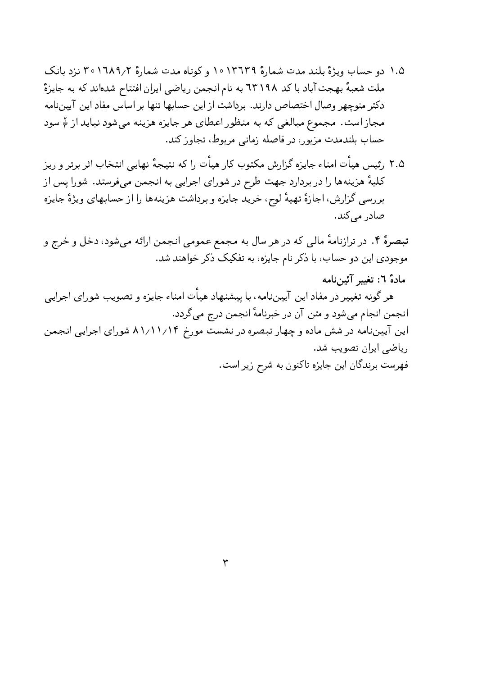- ۱.۵ دو حساب ویژهٔ بلند مدت شمارهٔ ۱۰۱۳٦۳۹ و کوتاه مدت شمارهٔ ۲٫۱٦۸۹/۲ متزد بانک ملت شعبهٔ بهجت آباد با کد ٦٣١٩٨ به نام انجمن رياضي ايران افتتاح شدهاند که به جايزهً دکتر منوچهر وصال اختصاص دارند. برداشت از این حسابها تنها بر اساس مفاد این آییننامه مجاز است. مجموع مبالغی که به منظور اعطای هر جایزه هزینه میشود نباید از 4 سود حساب بلندمدت مزبور، در فاصله زمانی مربوط، تجاوز کند.
- ٢.۵ رئيس هيأت امناء جايزه گزارش مكتوب كار هيأت را كه نتيجهٔ نهايي انتخاب اثر برتر و ريز کلیهٔ هزینهها را در بردارد جهت طرح در شورای اجرایی به انجمن میفرستد. شورا پس از بررسی گزارش، اجازهٔ تهیهٔ لوح، خرید جایزه و برداشت هزینهها را از حسابهای ویژهٔ جایزه صادر مے کند.

تبصرهٔ ۴. در ترازنامهٔ مالی که در هر سال به مجمع عمومی انجمن ارائه میشود، دخل و خرج و موجودي اين دو حساب، با ذكر نام جايزه، به تفكيك ذكر خواهند شد.

مادة ٦: تغيير آئين نامه

هر گونه تغییر در مفاد این آییننامه، با پیشنهاد هیأت امناء جایزه و تصویب شورای اجرایی انجمن انجام مي شود و متن آن در خبرنامهٔ انجمن درج مي گردد. این آییننامه در شش ماده و چهار تبصره در نشست مورخ ۸۱٬۱۱/۱۴ شورای اجرایی انجمن

ریاضی ایران تصویب شد. فهرست برندگان این جایزه تاکنون به شرح زیر است.